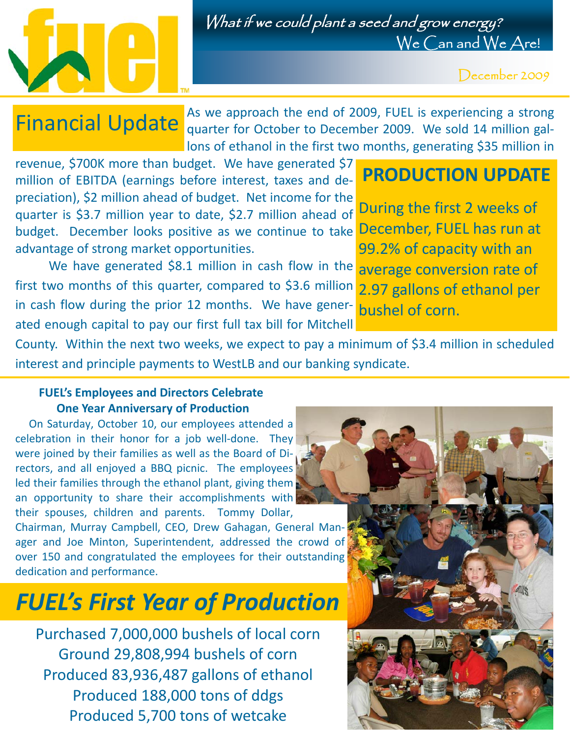

What if we could plant a seed and grow energy? We Can and We Are!

December 2009

## Financial Update

As we approach the end of 2009, FUEL is experiencing a strong quarter for October to December 2009. We sold 14 million gallons of ethanol in the first two months, generating \$35 million in

revenue, \$700K more than budget. We have generated \$7 million of EBITDA (earnings before interest, taxes and de‐ preciation), \$2 million ahead of budget. Net income for the quarter is \$3.7 million year to date, \$2.7 million ahead of budget. December looks positive as we continue to take **December, FUEL has run at** advantage of strong market opportunities.

We have generated \$8.1 million in cash flow in the **average conversion rate of** first two months of this quarter, compared to \$3.6 million in cash flow during the prior 12 months. We have gener‐ ated enough capital to pay our first full tax bill for Mitchell

### **PRODUCTION UPDATE**

During the first 2 weeks of 99.2% of capacity with an 2.97 gallons of ethanol per bushel of corn.

County. Within the next two weeks, we expect to pay a minimum of \$3.4 million in scheduled interest and principle payments to WestLB and our banking syndicate.

#### **FUEL's Employees and Directors Celebrate One Year Anniversary of Production**

 On Saturday, October 10, our employees attended a celebration in their honor for a job well-done. They were joined by their families as well as the Board of Di‐ rectors, and all enjoyed a BBQ picnic. The employees led their families through the ethanol plant, giving them an opportunity to share their accomplishments with their spouses, children and parents. Tommy Dollar, Chairman, Murray Campbell, CEO, Drew Gahagan, General Man‐ ager and Joe Minton, Superintendent, addressed the crowd of over 150 and congratulated the employees for their outstanding dedication and performance.

## *FUEL's First Year of Production*

Purchased 7,000,000 bushels of local corn Ground 29,808,994 bushels of corn Produced 83,936,487 gallons of ethanol Produced 188,000 tons of ddgs Produced 5,700 tons of wetcake